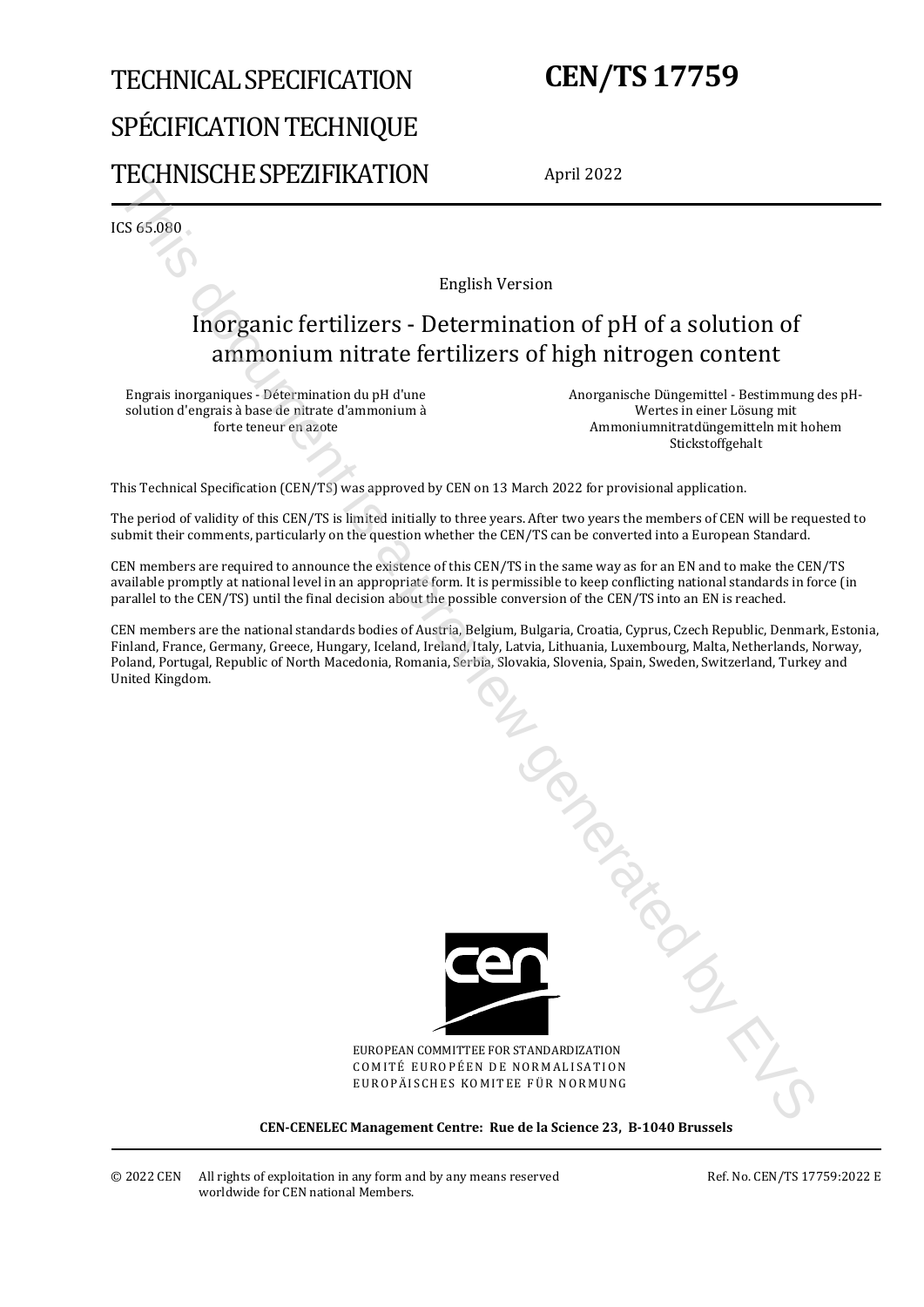# TECHNICAL SPECIFICATION SPÉCIFICATION TECHNIQUE TECHNISCHE SPEZIFIKATION

# **CEN/TS 17759**

April 2022

ICS 65.080

English Version

### Inorganic fertilizers - Determination of pH of a solution of ammonium nitrate fertilizers of high nitrogen content

Engrais inorganiques - Détermination du pH d'une solution d'engrais à base de nitrate d'ammonium à forte teneur en azote

Anorganische Düngemittel - Bestimmung des pH-Wertes in einer Lösung mit Ammoniumnitratdüngemitteln mit hohem Stickstoffgehalt

This Technical Specification (CEN/TS) was approved by CEN on 13 March 2022 for provisional application.

The period of validity of this CEN/TS is limited initially to three years. After two years the members of CEN will be requested to submit their comments, particularly on the question whether the CEN/TS can be converted into a European Standard.

CEN members are required to announce the existence of this CEN/TS in the same way as for an EN and to make the CEN/TS available promptly at national level in an appropriate form. It is permissible to keep conflicting national standards in force (in parallel to the CEN/TS) until the final decision about the possible conversion of the CEN/TS into an EN is reached.

CEN members are the national standards bodies of Austria, Belgium, Bulgaria, Croatia, Cyprus, Czech Republic, Denmark, Estonia, Finland, France, Germany, Greece, Hungary, Iceland, Ireland, Italy, Latvia, Lithuania, Luxembourg, Malta, Netherlands, Norway, Poland, Portugal, Republic of North Macedonia, Romania, Serbia, Slovakia, Slovenia, Spain, Sweden, Switzerland, Turkey and United Kingdom.



EUROPEAN COMMITTEE FOR STANDARDIZATION COMITÉ EUROPÉEN DE NORMALISATION EUROPÄISCHES KOMITEE FÜR NORMUNG

**CEN-CENELEC Management Centre: Rue de la Science 23, B-1040 Brussels**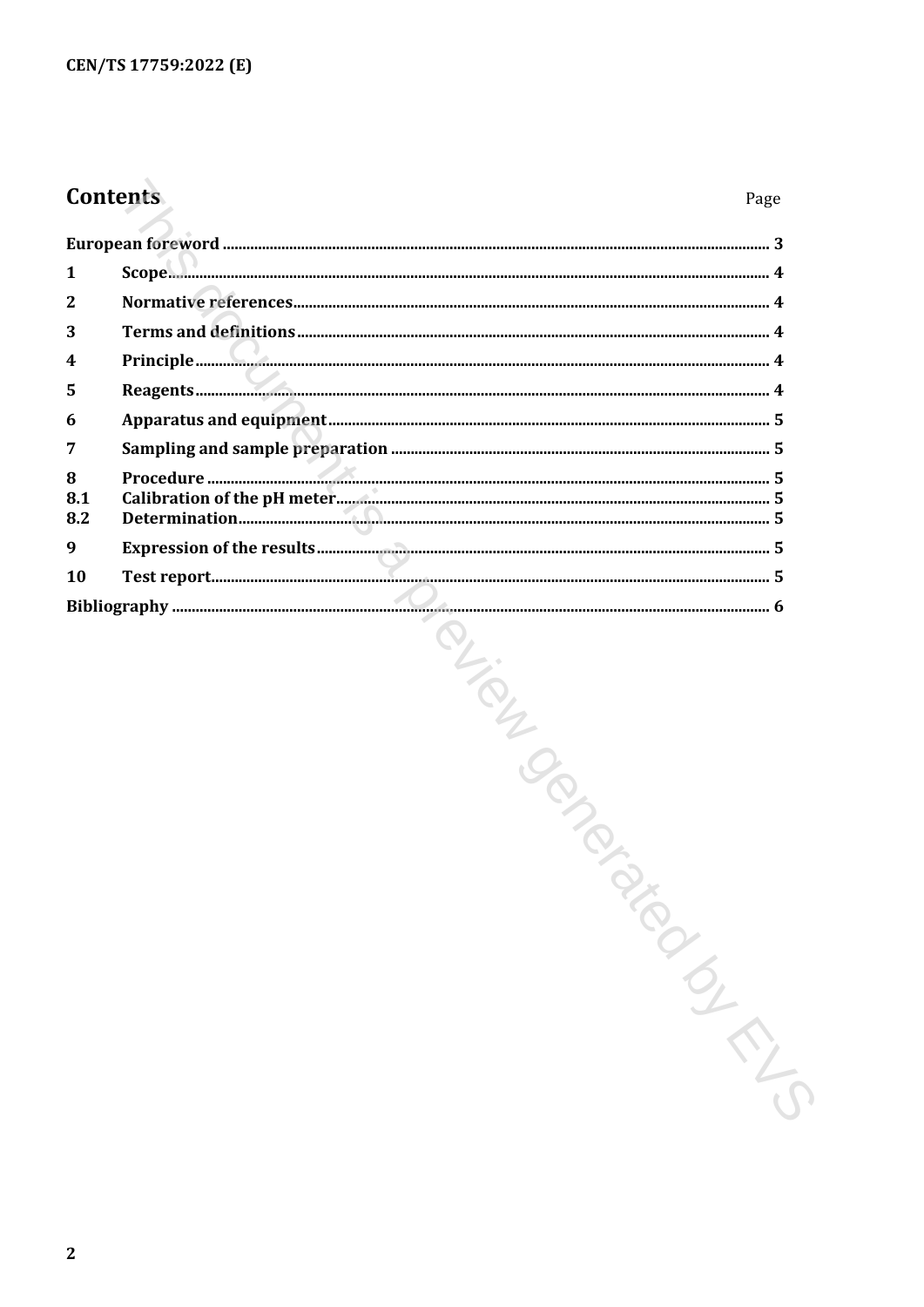## Contents

| 1               |                |  |
|-----------------|----------------|--|
| $\mathbf{2}$    |                |  |
| 3               |                |  |
| 4               |                |  |
| 5               |                |  |
| 6               |                |  |
| 7               |                |  |
| 8<br>8.1<br>8.2 |                |  |
| 9               |                |  |
| <b>10</b>       |                |  |
|                 |                |  |
|                 | PLICATION PROP |  |
|                 |                |  |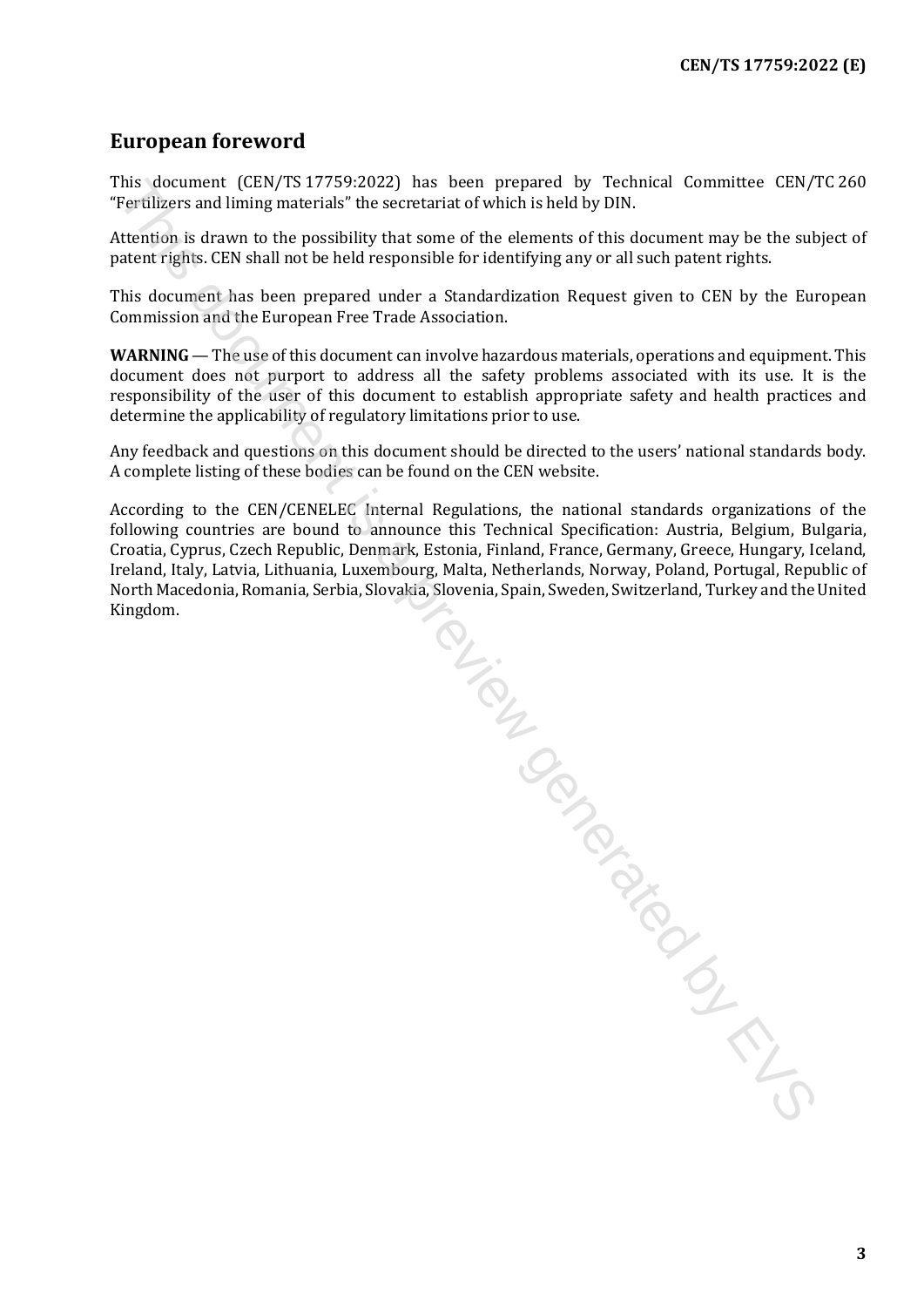#### <span id="page-2-0"></span>**European foreword**

This document (CEN/TS 17759:2022) has been prepared by Technical Committee CEN/TC 260 "Fertilizers and liming materials" the secretariat of which is held by DIN.

Attention is drawn to the possibility that some of the elements of this document may be the subject of patent rights. CEN shall not be held responsible for identifying any or all such patent rights.

This document has been prepared under a Standardization Request given to CEN by the European Commission and the European Free Trade Association.

**WARNING** — The use of this document can involve hazardous materials, operations and equipment. This document does not purport to address all the safety problems associated with its use. It is the responsibility of the user of this document to establish appropriate safety and health practices and determine the applicability of regulatory limitations prior to use.

Any feedback and questions on this document should be directed to the users' national standards body. A complete listing of these bodies can be found on the CEN website.

According to the CEN/CENELEC Internal Regulations, the national standards organizations of the following countries are bound to announce this Technical Specification: Austria, Belgium, Bulgaria, Croatia, Cyprus, Czech Republic, Denmark, Estonia, Finland, France, Germany, Greece, Hungary, Iceland, Ireland, Italy, Latvia, Lithuania, Luxembourg, Malta, Netherlands, Norway, Poland, Portugal, Republic of North Macedonia, Romania, Serbia, Slovakia, Slovenia, Spain, Sweden, Switzerland, Turkey and the United

This document (CEN/TS 37759-2022) has been prepared by Technical Committee CEN/TS<br>Teerlifese sond thing materials "the secretarist of which is held by PIN.<br>Teerlifese and liming materials "the seriestivity that comes of th